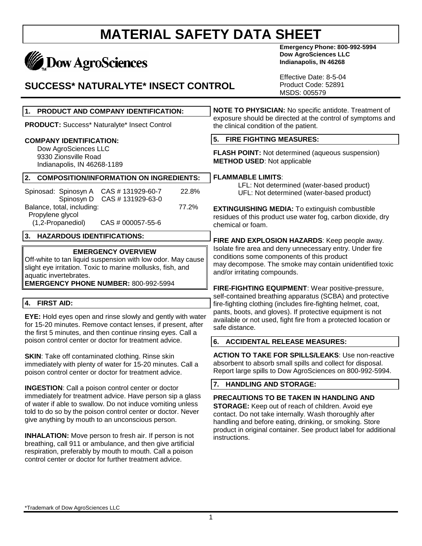# **Dow AgroSciences**

### **SUCCESS\* NATURALYTE\* INSECT CONTROL**

**Emergency Phone: 800-992-5994 Dow AgroSciences LLC Indianapolis, IN 46268**

Effective Date: 8-5-04 Product Code: 52891 MSDS: 005579

| PRODUCT AND COMPANY IDENTIFICATION:<br>1.                                                                                                                                                                                                         | NOTE TO PHYSICIAN: No specific antidote. Treatment of<br>exposure should be directed at the control of symptoms and<br>the clinical condition of the patient.                                                                                      |  |
|---------------------------------------------------------------------------------------------------------------------------------------------------------------------------------------------------------------------------------------------------|----------------------------------------------------------------------------------------------------------------------------------------------------------------------------------------------------------------------------------------------------|--|
| PRODUCT: Success* Naturalyte* Insect Control                                                                                                                                                                                                      |                                                                                                                                                                                                                                                    |  |
| <b>COMPANY IDENTIFICATION:</b>                                                                                                                                                                                                                    | 5.<br><b>FIRE FIGHTING MEASURES:</b>                                                                                                                                                                                                               |  |
| Dow AgroSciences LLC<br>9330 Zionsville Road<br>Indianapolis, IN 46268-1189                                                                                                                                                                       | FLASH POINT: Not determined (aqueous suspension)<br><b>METHOD USED: Not applicable</b>                                                                                                                                                             |  |
| 2.<br><b>COMPOSITION/INFORMATION ON INGREDIENTS:</b>                                                                                                                                                                                              | <b>FLAMMABLE LIMITS:</b>                                                                                                                                                                                                                           |  |
| CAS #131929-60-7<br>22.8%<br>Spinosad: Spinosyn A<br>Spinosyn D<br>CAS #131929-63-0                                                                                                                                                               | LFL: Not determined (water-based product)<br>UFL: Not determined (water-based product)                                                                                                                                                             |  |
| Balance, total, including:<br>77.2%<br>Propylene glycol<br>(1,2-Propanediol)<br>CAS # 000057-55-6                                                                                                                                                 | <b>EXTINGUISHING MEDIA:</b> To extinguish combustible<br>residues of this product use water fog, carbon dioxide, dry<br>chemical or foam.                                                                                                          |  |
| <b>HAZARDOUS IDENTIFICATIONS:</b><br>3.                                                                                                                                                                                                           | FIRE AND EXPLOSION HAZARDS: Keep people away.<br>Isolate fire area and deny unnecessary entry. Under fire<br>conditions some components of this product<br>may decompose. The smoke may contain unidentified toxic<br>and/or irritating compounds. |  |
| <b>EMERGENCY OVERVIEW</b><br>Off-white to tan liquid suspension with low odor. May cause<br>slight eye irritation. Toxic to marine mollusks, fish, and<br>aquatic invertebrates.<br><b>EMERGENCY PHONE NUMBER: 800-992-5994</b>                   |                                                                                                                                                                                                                                                    |  |
|                                                                                                                                                                                                                                                   | FIRE-FIGHTING EQUIPMENT: Wear positive-pressure,<br>self-contained breathing apparatus (SCBA) and protective                                                                                                                                       |  |
| <b>FIRST AID:</b><br>4.                                                                                                                                                                                                                           | fire-fighting clothing (includes fire-fighting helmet, coat,                                                                                                                                                                                       |  |
| EYE: Hold eyes open and rinse slowly and gently with water<br>for 15-20 minutes. Remove contact lenses, if present, after<br>the first 5 minutes, and then continue rinsing eyes. Call a                                                          | pants, boots, and gloves). If protective equipment is not<br>available or not used, fight fire from a protected location or<br>safe distance.                                                                                                      |  |
| poison control center or doctor for treatment advice.                                                                                                                                                                                             | 6. ACCIDENTAL RELEASE MEASURES:                                                                                                                                                                                                                    |  |
| <b>SKIN:</b> Take off contaminated clothing. Rinse skin<br>immediately with plenty of water for 15-20 minutes. Call a<br>poison control center or doctor for treatment advice.                                                                    | <b>ACTION TO TAKE FOR SPILLS/LEAKS: Use non-reactive</b><br>absorbent to absorb small spills and collect for disposal.<br>Report large spills to Dow AgroSciences on 800-992-5994.                                                                 |  |
| <b>INGESTION:</b> Call a poison control center or doctor                                                                                                                                                                                          | 7.<br><b>HANDLING AND STORAGE:</b>                                                                                                                                                                                                                 |  |
| immediately for treatment advice. Have person sip a glass<br>of water if able to swallow. Do not induce vomiting unless<br>told to do so by the poison control center or doctor. Never<br>give anything by mouth to an unconscious person.        | PRECAUTIONS TO BE TAKEN IN HANDLING AND<br>STORAGE: Keep out of reach of children. Avoid eye<br>contact. Do not take internally. Wash thoroughly after<br>handling and before eating, drinking, or smoking. Store                                  |  |
| <b>INHALATION:</b> Move person to fresh air. If person is not<br>breathing, call 911 or ambulance, and then give artificial<br>respiration, preferably by mouth to mouth. Call a poison<br>control center or doctor for further treatment advice. | product in original container. See product label for additional<br>instructions.                                                                                                                                                                   |  |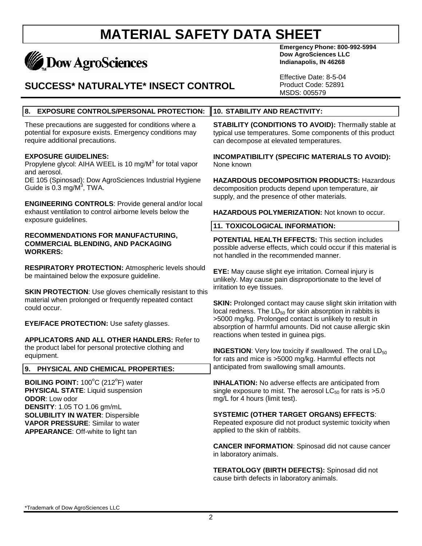# **Dow AgroSciences**

### **SUCCESS\* NATURALYTE\* INSECT CONTROL**

**Emergency Phone: 800-992-5994 Dow AgroSciences LLC Indianapolis, IN 46268**

Effective Date: 8-5-04 Product Code: 52891 MSDS: 005579

#### **8. EXPOSURE CONTROLS/PERSONAL PROTECTION: 10. STABILITY AND REACTIVITY:**

These precautions are suggested for conditions where a potential for exposure exists. Emergency conditions may require additional precautions.

#### **EXPOSURE GUIDELINES:**

Propylene glycol: AIHA WEEL is 10 mg/M<sup>3</sup> for total vapor and aerosol.

DE 105 (Spinosad): Dow AgroSciences Industrial Hygiene Guide is 0.3 mg/M $3$ , TWA.

**ENGINEERING CONTROLS**: Provide general and/or local exhaust ventilation to control airborne levels below the exposure guidelines.

#### **RECOMMENDATIONS FOR MANUFACTURING, COMMERCIAL BLENDING, AND PACKAGING WORKERS:**

**RESPIRATORY PROTECTION:** Atmospheric levels should be maintained below the exposure guideline.

**SKIN PROTECTION:** Use gloves chemically resistant to this material when prolonged or frequently repeated contact could occur.

**EYE/FACE PROTECTION:** Use safety glasses.

**APPLICATORS AND ALL OTHER HANDLERS:** Refer to the product label for personal protective clothing and equipment.

**9. PHYSICAL AND CHEMICAL PROPERTIES:**

**BOILING POINT:** 100°C (212°F) water **PHYSICAL STATE**: Liquid suspension **ODOR**: Low odor **DENSITY**: 1.05 TO 1.06 gm/mL **SOLUBILITY IN WATER**: Dispersible **VAPOR PRESSURE**: Similar to water **APPEARANCE**: Off-white to light tan

**STABILITY (CONDITIONS TO AVOID):** Thermally stable at typical use temperatures. Some components of this product can decompose at elevated temperatures.

**INCOMPATIBILITY (SPECIFIC MATERIALS TO AVOID):** None known

**HAZARDOUS DECOMPOSITION PRODUCTS:** Hazardous decomposition products depend upon temperature, air supply, and the presence of other materials.

**HAZARDOUS POLYMERIZATION:** Not known to occur.

#### **11. TOXICOLOGICAL INFORMATION:**

**POTENTIAL HEALTH EFFECTS:** This section includes possible adverse effects, which could occur if this material is not handled in the recommended manner.

**EYE:** May cause slight eye irritation. Corneal injury is unlikely. May cause pain disproportionate to the level of irritation to eye tissues.

**SKIN:** Prolonged contact may cause slight skin irritation with local redness. The  $LD_{50}$  for skin absorption in rabbits is >5000 mg/kg. Prolonged contact is unlikely to result in absorption of harmful amounts. Did not cause allergic skin reactions when tested in guinea pigs.

**INGESTION:** Very low toxicity if swallowed. The oral  $LD_{50}$ for rats and mice is >5000 mg/kg. Harmful effects not anticipated from swallowing small amounts.

**INHALATION:** No adverse effects are anticipated from single exposure to mist. The aerosol  $LC_{50}$  for rats is  $>5.0$ mg/L for 4 hours (limit test).

#### **SYSTEMIC (OTHER TARGET ORGANS) EFFECTS**:

Repeated exposure did not product systemic toxicity when applied to the skin of rabbits.

**CANCER INFORMATION**: Spinosad did not cause cancer in laboratory animals.

**TERATOLOGY (BIRTH DEFECTS):** Spinosad did not cause birth defects in laboratory animals.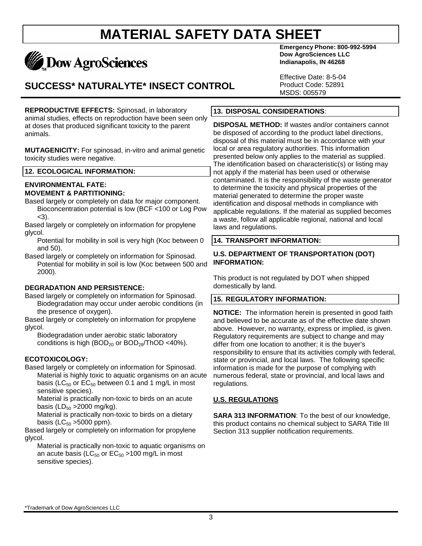# **Dow AgroSciences**

## **SUCCESS\* NATURALYTE\* INSECT CONTROL**

**REPRODUCTIVE EFFECTS:** Spinosad, in laboratory animal studies, effects on reproduction have been seen only at doses that produced significant toxicity to the parent animals.

**MUTAGENICITY:** For spinosad, in-vitro and animal genetic toxicity studies were negative.

#### **12. ECOLOGICAL INFORMATION:**

#### **ENVIRONMENTAL FATE: MOVEMENT & PARTITIONING:**

- Based largely or completely on data for major component. Bioconcentration potential is low (BCF <100 or Log Pow <3).
- Based largely or completely on information for propylene glycol.
	- Potential for mobility in soil is very high (Koc between 0 and 50).
- Based largely or completely on information for Spinosad. Potential for mobility in soil is low (Koc between 500 and 2000).

#### **DEGRADATION AND PERSISTENCE:**

Based largely or completely on information for Spinosad. Biodegradation may occur under aerobic conditions (in the presence of oxygen).

Based largely or completely on information for propylene glycol.

Biodegradation under aerobic static laboratory conditions is high (BOD<sub>20</sub> or BOD<sub>28</sub>/ThOD <40%).

#### **ECOTOXICOLOGY:**

Based largely or completely on information for Spinosad. Material is highly toxic to aquatic organisms on an acute basis ( $LC_{50}$  or  $EC_{50}$  between 0.1 and 1 mg/L in most sensitive species).

Material is practically non-toxic to birds on an acute basis (LD $_{50}$  >2000 mg/kg).

Material is practically non-toxic to birds on a dietary basis ( $LC_{50} > 5000$  ppm).

Based largely or completely on information for propylene glycol.

Material is practically non-toxic to aquatic organisms on an acute basis ( $LC_{50}$  or  $EC_{50}$  >100 mg/L in most sensitive species).

**Emergency Phone: 800-992-5994 Dow AgroSciences LLC Indianapolis, IN 46268**

Effective Date: 8-5-04 Product Code: 52891 MSDS: 005579

#### **13. DISPOSAL CONSIDERATIONS**:

**DISPOSAL METHOD:** If wastes and/or containers cannot be disposed of according to the product label directions, disposal of this material must be in accordance with your local or area regulatory authorities. This information presented below only applies to the material as supplied. The identification based on characteristic(s) or listing may not apply if the material has been used or otherwise contaminated. It is the responsibility of the waste generator to determine the toxicity and physical properties of the material generated to determine the proper waste identification and disposal methods in compliance with applicable regulations. If the material as supplied becomes a waste, follow all applicable regional, national and local laws and regulations.

#### **14. TRANSPORT INFORMATION:**

#### **U.S. DEPARTMENT OF TRANSPORTATION (DOT) INFORMATION:**

This product is not regulated by DOT when shipped domestically by land.

#### **15. REGULATORY INFORMATION:**

**NOTICE:** The information herein is presented in good faith and believed to be accurate as of the effective date shown above. However, no warranty, express or implied, is given. Regulatory requirements are subject to change and may differ from one location to another; it is the buyer's responsibility to ensure that its activities comply with federal, state or provincial, and local laws. The following specific information is made for the purpose of complying with numerous federal, state or provincial, and local laws and regulations.

#### **U.S. REGULATIONS**

**SARA 313 INFORMATION**: To the best of our knowledge, this product contains no chemical subject to SARA Title III Section 313 supplier notification requirements.